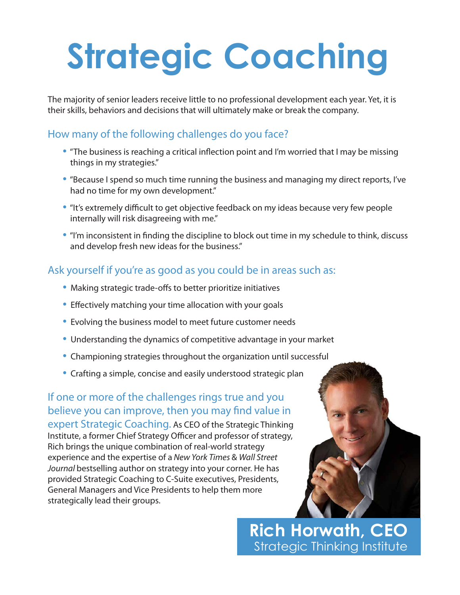# **Strategic Coaching**

The majority of senior leaders receive little to no professional development each year. Yet, it is their skills, behaviors and decisions that will ultimately make or break the company.

### How many of the following challenges do you face?

- "The business is reaching a critical inflection point and I'm worried that I may be missing things in my strategies."
- "Because I spend so much time running the business and managing my direct reports, I've had no time for my own development."
- "It's extremely difficult to get objective feedback on my ideas because very few people internally will risk disagreeing with me."
- "I'm inconsistent in finding the discipline to block out time in my schedule to think, discuss and develop fresh new ideas for the business."

## Ask yourself if you're as good as you could be in areas such as:

- Making strategic trade-offs to better prioritize initiatives
- Effectively matching your time allocation with your goals
- Evolving the business model to meet future customer needs
- Understanding the dynamics of competitive advantage in your market
- Championing strategies throughout the organization until successful
- Crafting a simple, concise and easily understood strategic plan

If one or more of the challenges rings true and you believe you can improve, then you may find value in expert Strategic Coaching. As CEO of the Strategic Thinking Institute, a former Chief Strategy Officer and professor of strategy, Rich brings the unique combination of real-world strategy experience and the expertise of a *New York Times* & *Wall Street Journal* bestselling author on strategy into your corner. He has provided Strategic Coaching to C-Suite executives, Presidents, General Managers and Vice Presidents to help them more strategically lead their groups.



**Rich Horwath, CEO** Strategic Thinking Institute